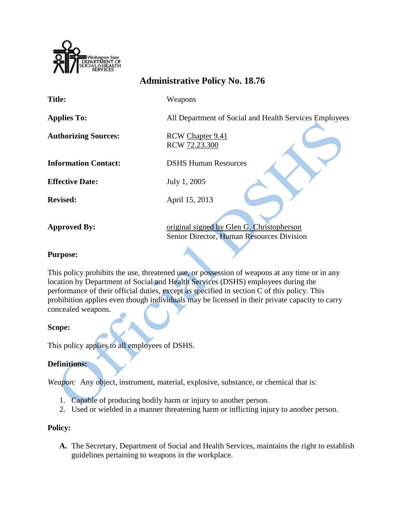

# **Administrative Policy No. 18.76**

**Title:** Weapons

**Applies To:** All Department of Social and Health Services Employees

**Authorizing Sources:** RCW [Chapter](http://apps.leg.wa.gov/RCW/default.aspx?cite=9.41) 9.41

RCW [72.23.300](http://apps.leg.wa.gov/RCW/default.aspx?cite=72.23.300)

**Information Contact:** DSHS Human Resources

**Effective Date:** July 1, 2005

**Revised:** April 15, 2013

**Approved By:** <u>original signed by Glen G. Christopherson</u> Senior Director, Human Resources Division

## **Purpose:**

This policy prohibits the use, threatened use, or possession of weapons at any time or in any location by Department of Social and Health Services (DSHS) employees during the performance of their official duties, except as specified in section C of this policy. This prohibition applies even though individuals may be licensed in their private capacity to carry concealed weapons.

## **Scope:**

This policy applies to all employees of DSHS.

## **Definitions:**

*Weapon:* Any object, instrument, material, explosive, substance, or chemical that is:

- 1. Capable of producing bodily harm or injury to another person.
- 2. Used or wielded in a manner threatening harm or inflicting injury to another person.

## **Policy:**

**A.** The Secretary, Department of Social and Health Services, maintains the right to establish guidelines pertaining to weapons in the workplace.